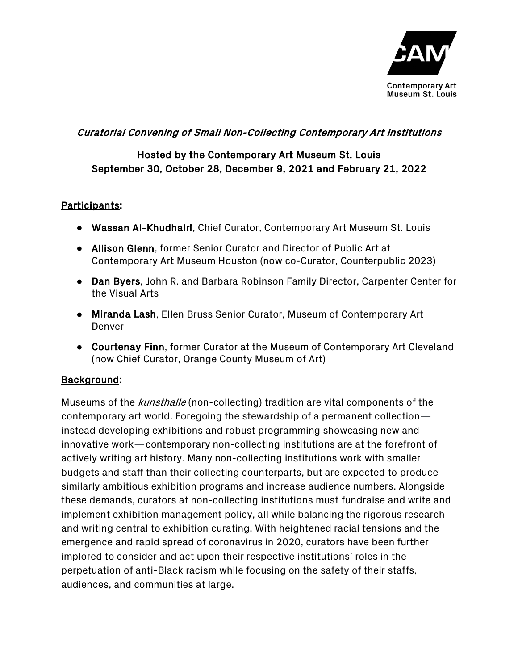

### Curatorial Convening of Small Non-Collecting Contemporary Art Institutions

# Hosted by the Contemporary Art Museum St. Louis September 30, October 28, December 9, 2021 and February 21, 2022

#### Participants:

- Wassan Al-Khudhairi, Chief Curator, Contemporary Art Museum St. Louis
- Allison Glenn, former Senior Curator and Director of Public Art at Contemporary Art Museum Houston (now co-Curator, Counterpublic 2023)
- Dan Byers, John R. and Barbara Robinson Family Director, Carpenter Center for the Visual Arts
- Miranda Lash, Ellen Bruss Senior Curator, Museum of Contemporary Art Denver
- Courtenay Finn, former Curator at the Museum of Contemporary Art Cleveland (now Chief Curator, Orange County Museum of Art)

#### Background:

Museums of the kunsthalle (non-collecting) tradition are vital components of the contemporary art world. Foregoing the stewardship of a permanent collection instead developing exhibitions and robust programming showcasing new and innovative work—contemporary non-collecting institutions are at the forefront of actively writing art history. Many non-collecting institutions work with smaller budgets and staff than their collecting counterparts, but are expected to produce similarly ambitious exhibition programs and increase audience numbers. Alongside these demands, curators at non-collecting institutions must fundraise and write and implement exhibition management policy, all while balancing the rigorous research and writing central to exhibition curating. With heightened racial tensions and the emergence and rapid spread of coronavirus in 2020, curators have been further implored to consider and act upon their respective institutions' roles in the perpetuation of anti-Black racism while focusing on the safety of their staffs, audiences, and communities at large.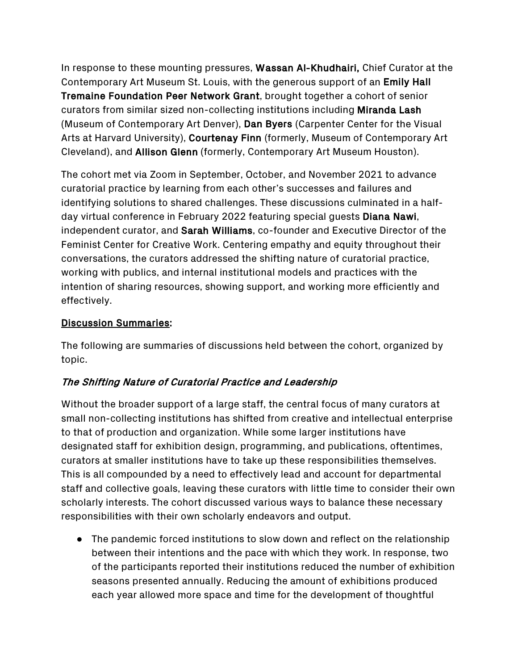In response to these mounting pressures, Wassan Al-Khudhairi, Chief Curator at the Contemporary Art Museum St. Louis, with the generous support of an Emily Hall Tremaine Foundation Peer Network Grant, brought together a cohort of senior curators from similar sized non-collecting institutions including Miranda Lash (Museum of Contemporary Art Denver), Dan Byers (Carpenter Center for the Visual Arts at Harvard University), Courtenay Finn (formerly, Museum of Contemporary Art Cleveland), and Allison Glenn (formerly, Contemporary Art Museum Houston).

The cohort met via Zoom in September, October, and November 2021 to advance curatorial practice by learning from each other's successes and failures and identifying solutions to shared challenges. These discussions culminated in a halfday virtual conference in February 2022 featuring special guests Diana Nawi, independent curator, and Sarah Williams, co-founder and Executive Director of the Feminist Center for Creative Work. Centering empathy and equity throughout their conversations, the curators addressed the shifting nature of curatorial practice, working with publics, and internal institutional models and practices with the intention of sharing resources, showing support, and working more efficiently and effectively.

### Discussion Summaries:

The following are summaries of discussions held between the cohort, organized by topic.

# The Shifting Nature of Curatorial Practice and Leadership

Without the broader support of a large staff, the central focus of many curators at small non-collecting institutions has shifted from creative and intellectual enterprise to that of production and organization. While some larger institutions have designated staff for exhibition design, programming, and publications, oftentimes, curators at smaller institutions have to take up these responsibilities themselves. This is all compounded by a need to effectively lead and account for departmental staff and collective goals, leaving these curators with little time to consider their own scholarly interests. The cohort discussed various ways to balance these necessary responsibilities with their own scholarly endeavors and output.

● The pandemic forced institutions to slow down and reflect on the relationship between their intentions and the pace with which they work. In response, two of the participants reported their institutions reduced the number of exhibition seasons presented annually. Reducing the amount of exhibitions produced each year allowed more space and time for the development of thoughtful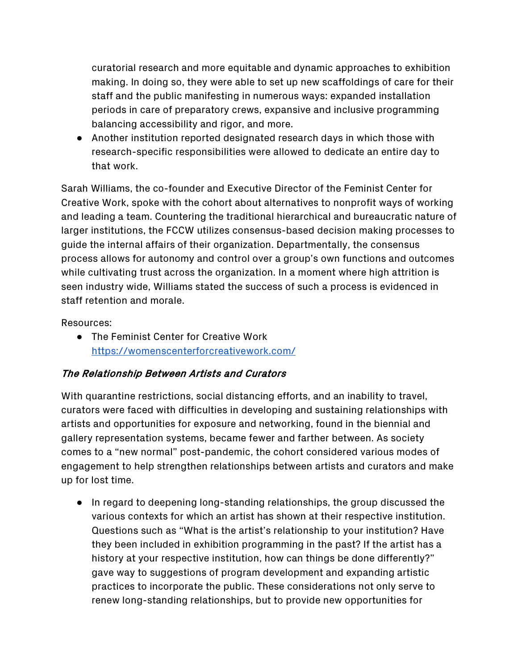curatorial research and more equitable and dynamic approaches to exhibition making. In doing so, they were able to set up new scaffoldings of care for their staff and the public manifesting in numerous ways: expanded installation periods in care of preparatory crews, expansive and inclusive programming balancing accessibility and rigor, and more.

● Another institution reported designated research days in which those with research-specific responsibilities were allowed to dedicate an entire day to that work.

Sarah Williams, the co-founder and Executive Director of the Feminist Center for Creative Work, spoke with the cohort about alternatives to nonprofit ways of working and leading a team. Countering the traditional hierarchical and bureaucratic nature of larger institutions, the FCCW utilizes consensus-based decision making processes to guide the internal affairs of their organization. Departmentally, the consensus process allows for autonomy and control over a group's own functions and outcomes while cultivating trust across the organization. In a moment where high attrition is seen industry wide, Williams stated the success of such a process is evidenced in staff retention and morale.

Resources:

● The Feminist Center for Creative Work https://womenscenterforcreativework.com/

# The Relationship Between Artists and Curators

With quarantine restrictions, social distancing efforts, and an inability to travel, curators were faced with difficulties in developing and sustaining relationships with artists and opportunities for exposure and networking, found in the biennial and gallery representation systems, became fewer and farther between. As society comes to a "new normal" post-pandemic, the cohort considered various modes of engagement to help strengthen relationships between artists and curators and make up for lost time.

● In regard to deepening long-standing relationships, the group discussed the various contexts for which an artist has shown at their respective institution. Questions such as "What is the artist's relationship to your institution? Have they been included in exhibition programming in the past? If the artist has a history at your respective institution, how can things be done differently?" gave way to suggestions of program development and expanding artistic practices to incorporate the public. These considerations not only serve to renew long-standing relationships, but to provide new opportunities for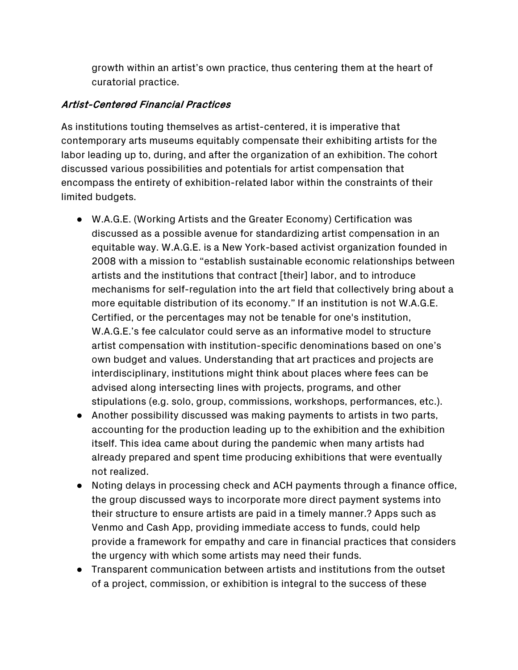growth within an artist's own practice, thus centering them at the heart of curatorial practice.

### Artist-Centered Financial Practices

As institutions touting themselves as artist-centered, it is imperative that contemporary arts museums equitably compensate their exhibiting artists for the labor leading up to, during, and after the organization of an exhibition. The cohort discussed various possibilities and potentials for artist compensation that encompass the entirety of exhibition-related labor within the constraints of their limited budgets.

- W.A.G.E. (Working Artists and the Greater Economy) Certification was discussed as a possible avenue for standardizing artist compensation in an equitable way. W.A.G.E. is a New York-based activist organization founded in 2008 with a mission to "establish sustainable economic relationships between artists and the institutions that contract [their] labor, and to introduce mechanisms for self-regulation into the art field that collectively bring about a more equitable distribution of its economy." If an institution is not W.A.G.E. Certified, or the percentages may not be tenable for one's institution, W.A.G.E.'s fee calculator could serve as an informative model to structure artist compensation with institution-specific denominations based on one's own budget and values. Understanding that art practices and projects are interdisciplinary, institutions might think about places where fees can be advised along intersecting lines with projects, programs, and other stipulations (e.g. solo, group, commissions, workshops, performances, etc.).
- Another possibility discussed was making payments to artists in two parts, accounting for the production leading up to the exhibition and the exhibition itself. This idea came about during the pandemic when many artists had already prepared and spent time producing exhibitions that were eventually not realized.
- Noting delays in processing check and ACH payments through a finance office, the group discussed ways to incorporate more direct payment systems into their structure to ensure artists are paid in a timely manner.? Apps such as Venmo and Cash App, providing immediate access to funds, could help provide a framework for empathy and care in financial practices that considers the urgency with which some artists may need their funds.
- Transparent communication between artists and institutions from the outset of a project, commission, or exhibition is integral to the success of these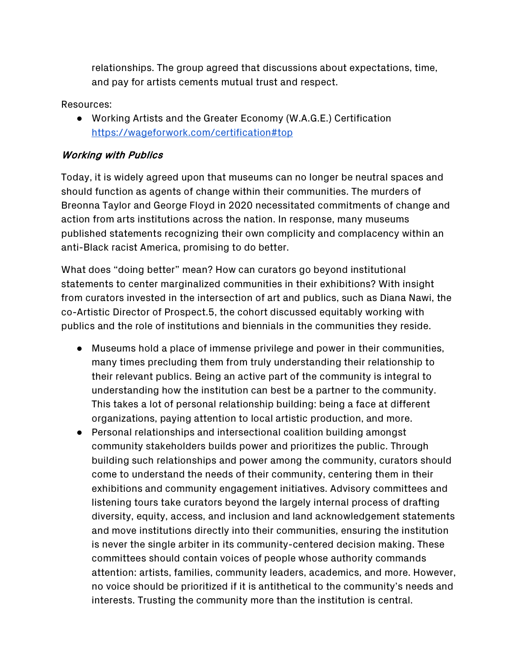relationships. The group agreed that discussions about expectations, time, and pay for artists cements mutual trust and respect.

Resources:

● Working Artists and the Greater Economy (W.A.G.E.) Certification https://wageforwork.com/certification#top

### Working with Publics

Today, it is widely agreed upon that museums can no longer be neutral spaces and should function as agents of change within their communities. The murders of Breonna Taylor and George Floyd in 2020 necessitated commitments of change and action from arts institutions across the nation. In response, many museums published statements recognizing their own complicity and complacency within an anti-Black racist America, promising to do better.

What does "doing better" mean? How can curators go beyond institutional statements to center marginalized communities in their exhibitions? With insight from curators invested in the intersection of art and publics, such as Diana Nawi, the co-Artistic Director of Prospect.5, the cohort discussed equitably working with publics and the role of institutions and biennials in the communities they reside.

- Museums hold a place of immense privilege and power in their communities, many times precluding them from truly understanding their relationship to their relevant publics. Being an active part of the community is integral to understanding how the institution can best be a partner to the community. This takes a lot of personal relationship building: being a face at different organizations, paying attention to local artistic production, and more.
- Personal relationships and intersectional coalition building amongst community stakeholders builds power and prioritizes the public. Through building such relationships and power among the community, curators should come to understand the needs of their community, centering them in their exhibitions and community engagement initiatives. Advisory committees and listening tours take curators beyond the largely internal process of drafting diversity, equity, access, and inclusion and land acknowledgement statements and move institutions directly into their communities, ensuring the institution is never the single arbiter in its community-centered decision making. These committees should contain voices of people whose authority commands attention: artists, families, community leaders, academics, and more. However, no voice should be prioritized if it is antithetical to the community's needs and interests. Trusting the community more than the institution is central.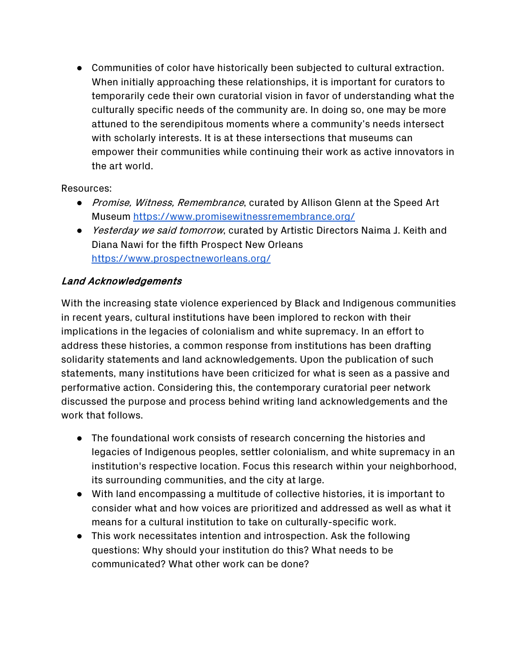● Communities of color have historically been subjected to cultural extraction. When initially approaching these relationships, it is important for curators to temporarily cede their own curatorial vision in favor of understanding what the culturally specific needs of the community are. In doing so, one may be more attuned to the serendipitous moments where a community's needs intersect with scholarly interests. It is at these intersections that museums can empower their communities while continuing their work as active innovators in the art world.

#### Resources:

- *Promise, Witness, Remembrance*, curated by Allison Glenn at the Speed Art Museum https://www.promisewitnessremembrance.org/
- *Yesterday we said tomorrow*, curated by Artistic Directors Naima J. Keith and Diana Nawi for the fifth Prospect New Orleans https://www.prospectneworleans.org/

### Land Acknowledgements

With the increasing state violence experienced by Black and Indigenous communities in recent years, cultural institutions have been implored to reckon with their implications in the legacies of colonialism and white supremacy. In an effort to address these histories, a common response from institutions has been drafting solidarity statements and land acknowledgements. Upon the publication of such statements, many institutions have been criticized for what is seen as a passive and performative action. Considering this, the contemporary curatorial peer network discussed the purpose and process behind writing land acknowledgements and the work that follows.

- The foundational work consists of research concerning the histories and legacies of Indigenous peoples, settler colonialism, and white supremacy in an institution's respective location. Focus this research within your neighborhood, its surrounding communities, and the city at large.
- With land encompassing a multitude of collective histories, it is important to consider what and how voices are prioritized and addressed as well as what it means for a cultural institution to take on culturally-specific work.
- This work necessitates intention and introspection. Ask the following questions: Why should your institution do this? What needs to be communicated? What other work can be done?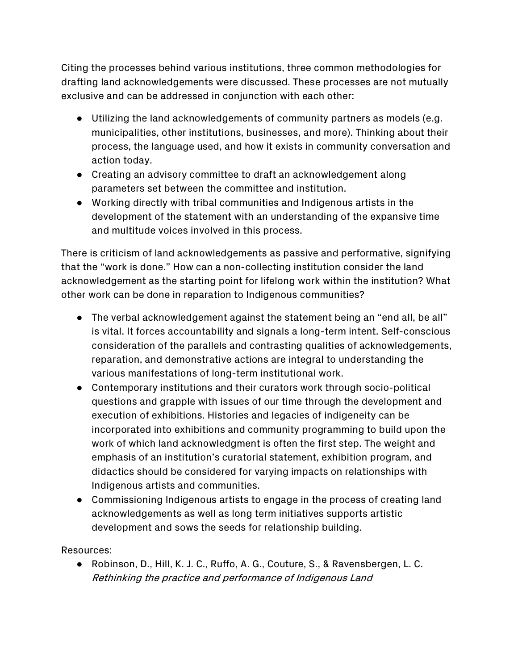Citing the processes behind various institutions, three common methodologies for drafting land acknowledgements were discussed. These processes are not mutually exclusive and can be addressed in conjunction with each other:

- Utilizing the land acknowledgements of community partners as models (e.g. municipalities, other institutions, businesses, and more). Thinking about their process, the language used, and how it exists in community conversation and action today.
- Creating an advisory committee to draft an acknowledgement along parameters set between the committee and institution.
- Working directly with tribal communities and Indigenous artists in the development of the statement with an understanding of the expansive time and multitude voices involved in this process.

There is criticism of land acknowledgements as passive and performative, signifying that the "work is done." How can a non-collecting institution consider the land acknowledgement as the starting point for lifelong work within the institution? What other work can be done in reparation to Indigenous communities?

- The verbal acknowledgement against the statement being an "end all, be all" is vital. It forces accountability and signals a long-term intent. Self-conscious consideration of the parallels and contrasting qualities of acknowledgements, reparation, and demonstrative actions are integral to understanding the various manifestations of long-term institutional work.
- Contemporary institutions and their curators work through socio-political questions and grapple with issues of our time through the development and execution of exhibitions. Histories and legacies of indigeneity can be incorporated into exhibitions and community programming to build upon the work of which land acknowledgment is often the first step. The weight and emphasis of an institution's curatorial statement, exhibition program, and didactics should be considered for varying impacts on relationships with Indigenous artists and communities.
- Commissioning Indigenous artists to engage in the process of creating land acknowledgements as well as long term initiatives supports artistic development and sows the seeds for relationship building.

Resources:

● Robinson, D., Hill, K. J. C., Ruffo, A. G., Couture, S., & Ravensbergen, L. C. Rethinking the practice and performance of Indigenous Land